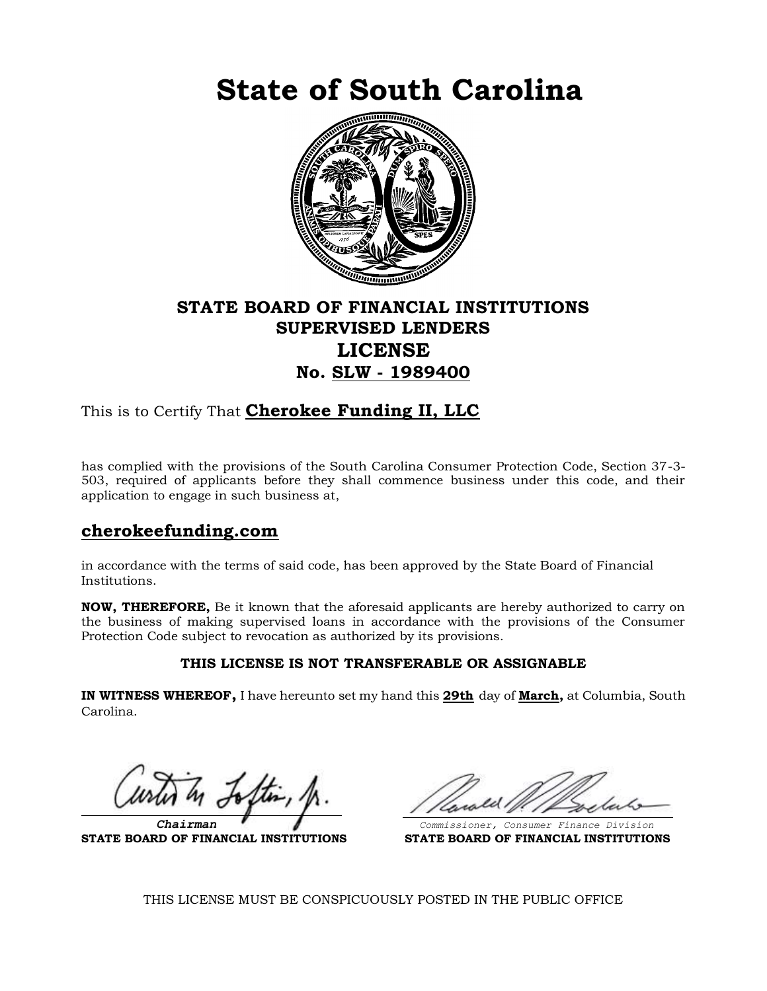**State of South Carolina**



# **STATE BOARD OF FINANCIAL INSTITUTIONS SUPERVISED LENDERS LICENSE No. SLW - 1989400**

This is to Certify That **Cherokee Funding II, LLC**

has complied with the provisions of the South Carolina Consumer Protection Code, Section 37-3- 503, required of applicants before they shall commence business under this code, and their application to engage in such business at,

### **cherokeefunding.com**

in accordance with the terms of said code, has been approved by the State Board of Financial Institutions.

**NOW, THEREFORE,** Be it known that the aforesaid applicants are hereby authorized to carry on the business of making supervised loans in accordance with the provisions of the Consumer Protection Code subject to revocation as authorized by its provisions.

#### **THIS LICENSE IS NOT TRANSFERABLE OR ASSIGNABLE**

**IN WITNESS WHEREOF,** I have hereunto set my hand this **29th** day of **March,** at Columbia, South Carolina.

**STATE BOARD OF FINANCIAL INSTITUTIONS STATE BOARD OF FINANCIAL INSTITUTIONS**

 *Chairman Commissioner, Consumer Finance Division*

THIS LICENSE MUST BE CONSPICUOUSLY POSTED IN THE PUBLIC OFFICE